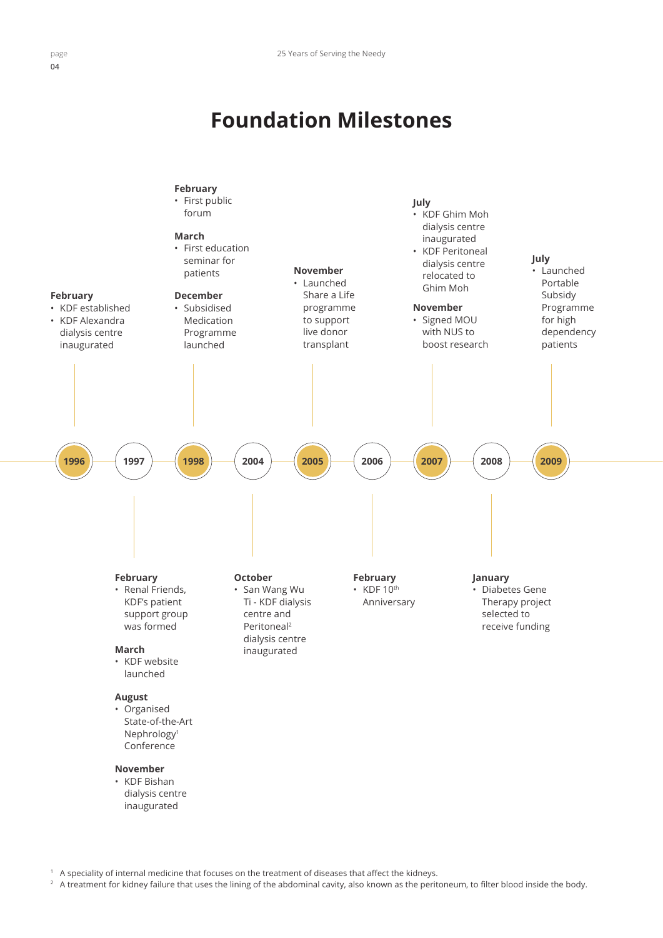## **Foundation Milestones**



<sup>1</sup> A speciality of internal medicine that focuses on the treatment of diseases that affect the kidneys.

<sup>2</sup> A treatment for kidney failure that uses the lining of the abdominal cavity, also known as the peritoneum, to filter blood inside the body.